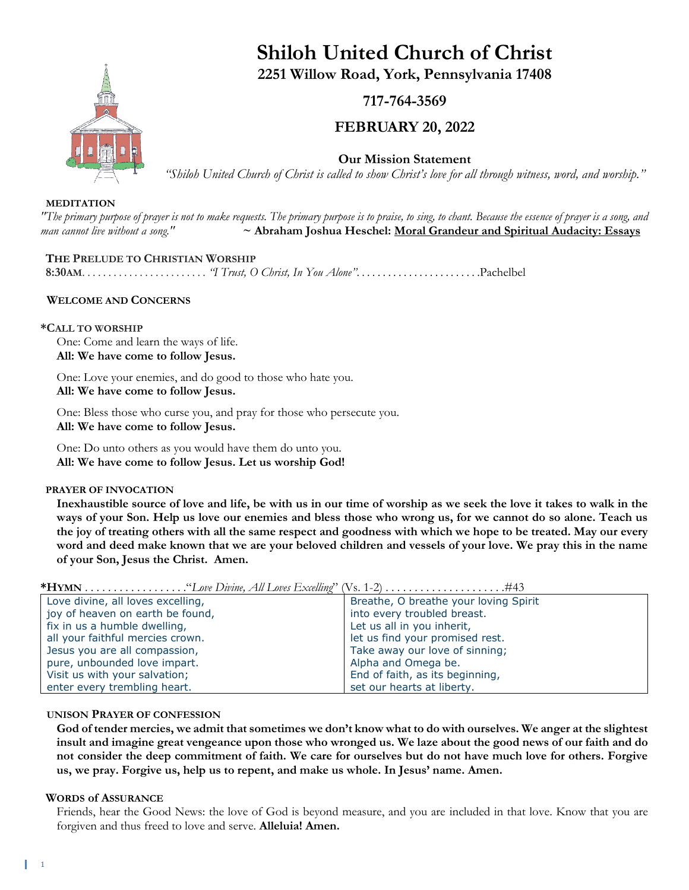

# **Shiloh United Church of Christ 2251 Willow Road, York, Pennsylvania 17408**

## **717-764-3569**

## **FEBRUARY 20, 2022**

**Our Mission Statement**

*"Shiloh United Church of Christ is called to show Christ's love for all through witness, word, and worship."*

#### **MEDITATION**

*"The primary purpose of prayer is not to make requests. The primary purpose is to praise, to sing, to chant. Because the essence of prayer is a song, and man cannot live without a song."* **~ Abraham Joshua Heschel: Moral Grandeur and Spiritual Audacity: Essays**

#### **THE PRELUDE TO CHRISTIAN WORSHIP**

**8:30AM**. . . . . . . . . . . . . . . . . . . . . . . . *"I Trust, O Christ, In You Alone"*. . . . . . . . . . . . . . . . . . . . . . . .Pachelbel

#### **WELCOME AND CONCERNS**

#### **\*CALL TO WORSHIP**

One: Come and learn the ways of life. **All: We have come to follow Jesus.**

One: Love your enemies, and do good to those who hate you. **All: We have come to follow Jesus.**

One: Bless those who curse you, and pray for those who persecute you. **All: We have come to follow Jesus.**

One: Do unto others as you would have them do unto you. **All: We have come to follow Jesus. Let us worship God!**

#### **PRAYER OF INVOCATION**

**Inexhaustible source of love and life, be with us in our time of worship as we seek the love it takes to walk in the ways of your Son. Help us love our enemies and bless those who wrong us, for we cannot do so alone. Teach us the joy of treating others with all the same respect and goodness with which we hope to be treated. May our every word and deed make known that we are your beloved children and vessels of your love. We pray this in the name of your Son, Jesus the Christ. Amen.**

| $\text{Tr}(\text{min}, \ldots, \ldots, \ldots, \ldots, \text{Lov}(\text{min}, \text{min}, \text{max}, \text{Lov})$ |                                       |
|--------------------------------------------------------------------------------------------------------------------|---------------------------------------|
| Love divine, all loves excelling,                                                                                  | Breathe, O breathe your loving Spirit |
| joy of heaven on earth be found,                                                                                   | into every troubled breast.           |
| fix in us a humble dwelling,                                                                                       | Let us all in you inherit,            |
| all your faithful mercies crown.                                                                                   | let us find your promised rest.       |
| Jesus you are all compassion,                                                                                      | Take away our love of sinning;        |
| pure, unbounded love impart.                                                                                       | Alpha and Omega be.                   |
| Visit us with your salvation;                                                                                      | End of faith, as its beginning,       |
| enter every trembling heart.                                                                                       | set our hearts at liberty.            |

**\*HYMN** . . . . . . . . . . . . . . . . . ."*Love Divine, All Loves Excelling*" (Vs. 1-2) . . . . . . . . . . . . . . . . . . . . .#43

#### **UNISON PRAYER OF CONFESSION**

**God of tender mercies, we admit that sometimes we don't know what to do with ourselves. We anger at the slightest insult and imagine great vengeance upon those who wronged us. We laze about the good news of our faith and do not consider the deep commitment of faith. We care for ourselves but do not have much love for others. Forgive us, we pray. Forgive us, help us to repent, and make us whole. In Jesus' name. Amen.**

#### **WORDS of ASSURANCE**

Friends, hear the Good News: the love of God is beyond measure, and you are included in that love. Know that you are forgiven and thus freed to love and serve. **Alleluia! Amen.**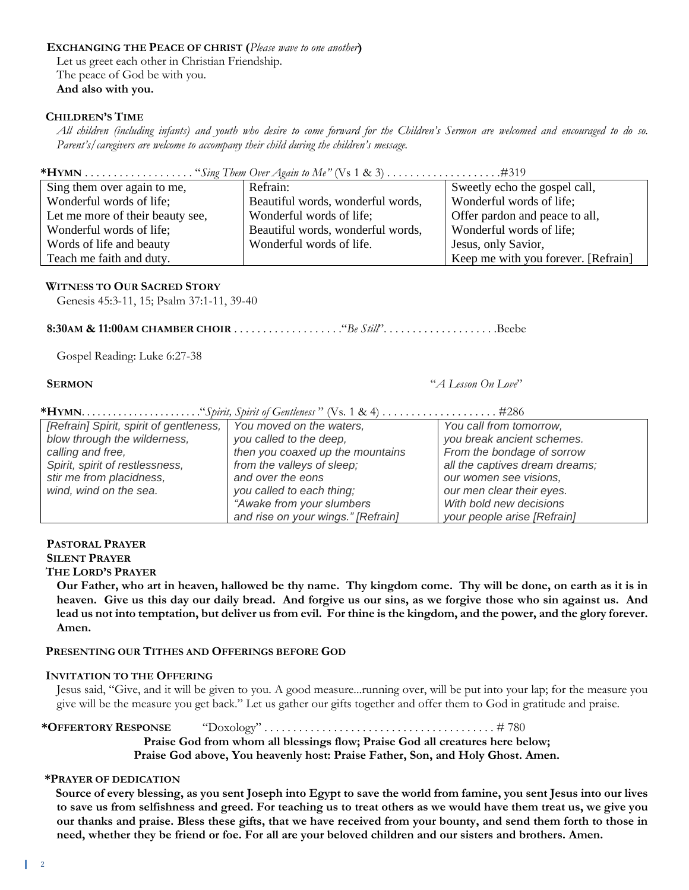#### **EXCHANGING THE PEACE OF CHRIST (***Please wave to one another***)** Let us greet each other in Christian Friendship. The peace of God be with you. **And also with you.**

#### **CHILDREN'S TIME**

All children (including infants) and youth who desire to come forward for the Children's Sermon are welcomed and encouraged to do so. *Parent's/caregivers are welcome to accompany their child during the children's message.*

**\*HYMN** . . . . . . . . . . . . . . . . . . . "*Sing Them Over Again to Me"* (Vs 1 & 3) *. . . . . . . . . . . . . . . . . . . .*#319 Sing them over again to me, Wonderful words of life; Let me more of their beauty see, Wonderful words of life; Words of life and beauty Teach me faith and duty. Refrain: Beautiful words, wonderful words, Wonderful words of life; Beautiful words, wonderful words, Wonderful words of life. Sweetly echo the gospel call, Wonderful words of life; Offer pardon and peace to all, Wonderful words of life; Jesus, only Savior, Keep me with you forever. [Refrain]

#### **WITNESS TO OUR SACRED STORY**

Genesis 45:3-11, 15; Psalm 37:1-11, 39-40

**8:30AM & 11:00AM CHAMBER CHOIR** . . . . . . . . . . . . . . . . . . ."*Be Still*". . . . . . . . . . . . . . . . . . . .Beebe

Gospel Reading: Luke 6:27-38

 **SERMON** "*A Lesson On Love*"

**\*HYMN**. . . . . . . . . . . . . . . . . . . . . . ."*Spirit, Spirit of Gentleness* " (Vs. 1 & 4) . . . . . . . . . . . . . . . . . . . . #286

| [Refrain] Spirit, spirit of gentleness, | You moved on the waters,           | You call from tomorrow,        |
|-----------------------------------------|------------------------------------|--------------------------------|
| blow through the wilderness,            | you called to the deep,            | you break ancient schemes.     |
| calling and free,                       | then you coaxed up the mountains   | From the bondage of sorrow     |
| Spirit, spirit of restlessness,         | from the valleys of sleep;         | all the captives dream dreams; |
| stir me from placidness,                | and over the eons                  | our women see visions,         |
| wind, wind on the sea.                  | you called to each thing;          | our men clear their eyes.      |
|                                         | "Awake from your slumbers"         | With bold new decisions        |
|                                         | and rise on your wings." [Refrain] | your people arise [Refrain]    |

#### **PASTORAL PRAYER SILENT PRAYER**

#### **THE LORD'S PRAYER**

**Our Father, who art in heaven, hallowed be thy name. Thy kingdom come. Thy will be done, on earth as it is in heaven. Give us this day our daily bread. And forgive us our sins, as we forgive those who sin against us. And lead us not into temptation, but deliver us from evil. For thine is the kingdom, and the power, and the glory forever. Amen.**

#### **PRESENTING OUR TITHES AND OFFERINGS BEFORE GOD**

#### **INVITATION TO THE OFFERING**

Jesus said, "Give, and it will be given to you. A good measure...running over, will be put into your lap; for the measure you give will be the measure you get back." Let us gather our gifts together and offer them to God in gratitude and praise.

#### **\*OFFERTORY RESPONSE** "Doxology" . . . . . . . . . . . . . . . . . . . . . . . . . . . . . . . . . . . . . . . . # 780

**Praise God from whom all blessings flow; Praise God all creatures here below;**

**Praise God above, You heavenly host: Praise Father, Son, and Holy Ghost. Amen.**

#### **\*PRAYER OF DEDICATION**

**Source of every blessing, as you sent Joseph into Egypt to save the world from famine, you sent Jesus into our lives to save us from selfishness and greed. For teaching us to treat others as we would have them treat us, we give you our thanks and praise. Bless these gifts, that we have received from your bounty, and send them forth to those in need, whether they be friend or foe. For all are your beloved children and our sisters and brothers. Amen.**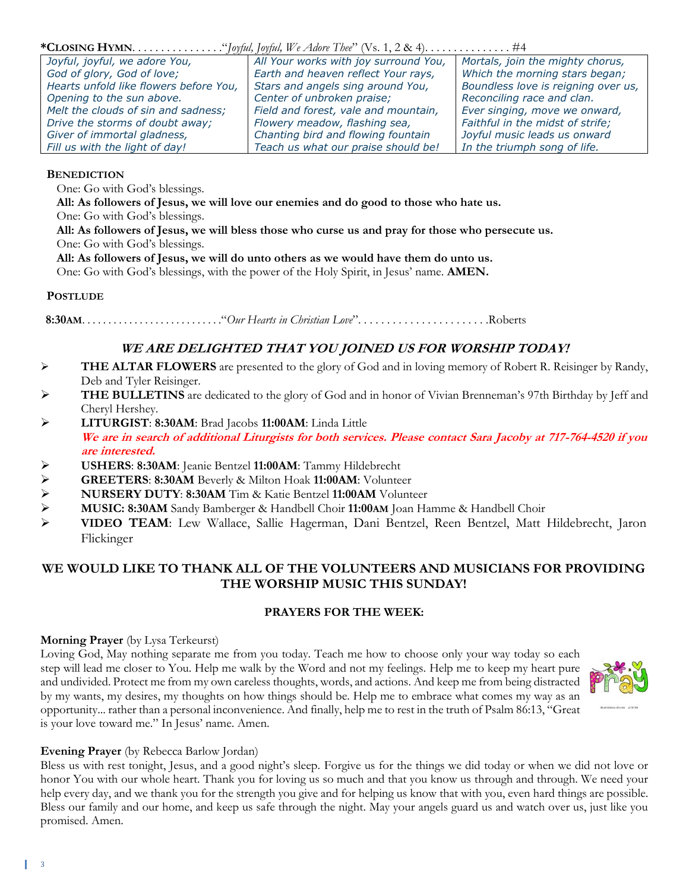| Joyful, joyful, we adore You,          | All Your works with joy surround You, | Mortals, join the mighty chorus,    |  |
|----------------------------------------|---------------------------------------|-------------------------------------|--|
| God of glory, God of love;             | Earth and heaven reflect Your rays,   | Which the morning stars began;      |  |
| Hearts unfold like flowers before You, | Stars and angels sing around You,     | Boundless love is reigning over us, |  |
| Opening to the sun above.              | Center of unbroken praise;            | Reconciling race and clan.          |  |
| Melt the clouds of sin and sadness;    | Field and forest, vale and mountain,  | Ever singing, move we onward,       |  |
| Drive the storms of doubt away;        | Flowery meadow, flashing sea,         | Faithful in the midst of strife;    |  |
| Giver of immortal gladness,            | Chanting bird and flowing fountain    | Joyful music leads us onward        |  |
| Fill us with the light of day!         | Teach us what our praise should be!   | In the triumph song of life.        |  |

#### **BENEDICTION**

One: Go with God's blessings.

**All: As followers of Jesus, we will love our enemies and do good to those who hate us.**

One: Go with God's blessings.

**All: As followers of Jesus, we will bless those who curse us and pray for those who persecute us.** One: Go with God's blessings.

**All: As followers of Jesus, we will do unto others as we would have them do unto us.**

One: Go with God's blessings, with the power of the Holy Spirit, in Jesus' name. **AMEN.**

#### **POSTLUDE**

 **8:30AM**. . . . . . . . . . . . . . . . . . . . . . . . . . ."*Our Hearts in Christian Love*". . . . . . . . . . . . . . . . . . . . . . .Roberts

## **WE ARE DELIGHTED THAT YOU JOINED US FOR WORSHIP TODAY!**

- ➢ **THE ALTAR FLOWERS** are presented to the glory of God and in loving memory of Robert R. Reisinger by Randy, Deb and Tyler Reisinger.
- THE BULLETINS are dedicated to the glory of God and in honor of Vivian Brenneman's 97th Birthday by Jeff and Cheryl Hershey.
- ➢ **LITURGIST**: **8:30AM**: Brad Jacobs **11:00AM**: Linda Little **We are in search of additional Liturgists for both services. Please contact Sara Jacoby at 717-764-4520 if you are interested.**
- ➢ **USHERS**: **8:30AM**: Jeanie Bentzel **11:00AM**: Tammy Hildebrecht
- ➢ **GREETERS**: **8:30AM** Beverly & Milton Hoak **11:00AM**: Volunteer
- ➢ **NURSERY DUTY**: **8:30AM** Tim & Katie Bentzel **11:00AM** Volunteer
- ➢ **MUSIC: 8:30AM** Sandy Bamberger & Handbell Choir **11:00AM** Joan Hamme & Handbell Choir
- ➢ **VIDEO TEAM**: Lew Wallace, Sallie Hagerman, Dani Bentzel, Reen Bentzel, Matt Hildebrecht, Jaron Flickinger

## **WE WOULD LIKE TO THANK ALL OF THE VOLUNTEERS AND MUSICIANS FOR PROVIDING THE WORSHIP MUSIC THIS SUNDAY!**

### **PRAYERS FOR THE WEEK:**

#### **Morning Prayer** (by Lysa Terkeurst)

Loving God, May nothing separate me from you today. Teach me how to choose only your way today so each step will lead me closer to You. Help me walk by the Word and not my feelings. Help me to keep my heart pure and undivided. Protect me from my own careless thoughts, words, and actions. And keep me from being distracted by my wants, my desires, my thoughts on how things should be. Help me to embrace what comes my way as an opportunity... rather than a personal inconvenience. And finally, help me to rest in the truth of Psalm 86:13, "Great is your love toward me." In Jesus' name. Amen.



### **Evening Prayer** (by Rebecca Barlow Jordan)

Bless us with rest tonight, Jesus, and a good night's sleep. Forgive us for the things we did today or when we did not love or honor You with our whole heart. Thank you for loving us so much and that you know us through and through. We need your help every day, and we thank you for the strength you give and for helping us know that with you, even hard things are possible. Bless our family and our home, and keep us safe through the night. May your angels guard us and watch over us, just like you promised. Amen.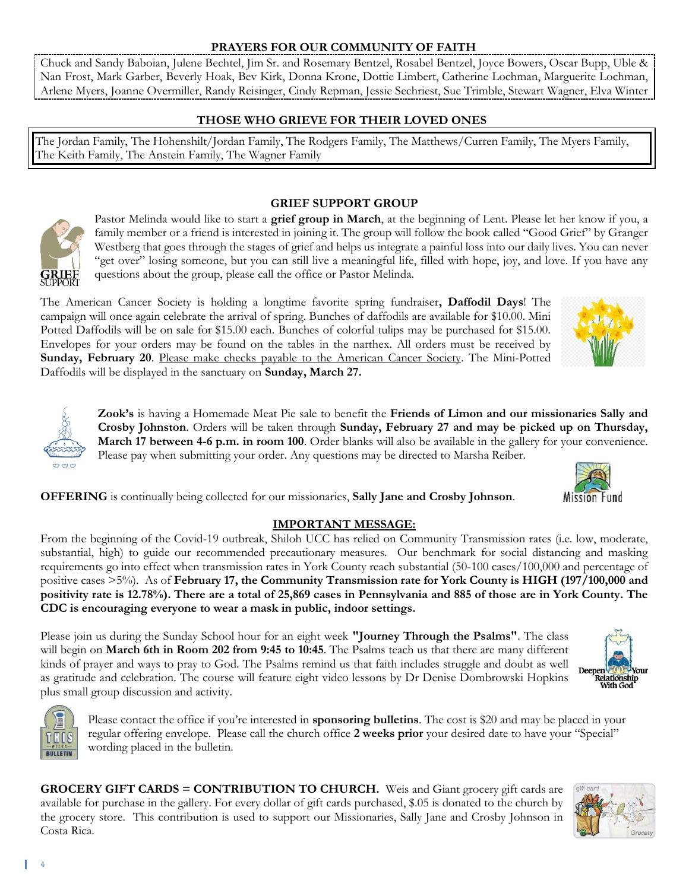#### **PRAYERS FOR OUR COMMUNITY OF FAITH**

Chuck and Sandy Baboian, Julene Bechtel, Jim Sr. and Rosemary Bentzel, Rosabel Bentzel, Joyce Bowers, Oscar Bupp, Uble & Nan Frost, Mark Garber, Beverly Hoak, Bev Kirk, Donna Krone, Dottie Limbert, Catherine Lochman, Marguerite Lochman, Arlene Myers, Joanne Overmiller, Randy Reisinger, Cindy Repman, Jessie Sechriest, Sue Trimble, Stewart Wagner, Elva Winter

#### **THOSE WHO GRIEVE FOR THEIR LOVED ONES**

The Jordan Family, The Hohenshilt/Jordan Family, The Rodgers Family, The Matthews/Curren Family, The Myers Family, The Keith Family, The Anstein Family, The Wagner Family



#### **GRIEF SUPPORT GROUP**

Pastor Melinda would like to start a **grief group in March**, at the beginning of Lent. Please let her know if you, a family member or a friend is interested in joining it. The group will follow the book called "Good Grief" by Granger Westberg that goes through the stages of grief and helps us integrate a painful loss into our daily lives. You can never "get over" losing someone, but you can still live a meaningful life, filled with hope, joy, and love. If you have any questions about the group, please call the office or Pastor Melinda.

The American Cancer Society is holding a longtime favorite spring fundraiser**, Daffodil Days**! The campaign will once again celebrate the arrival of spring. Bunches of daffodils are available for \$10.00. Mini Potted Daffodils will be on sale for \$15.00 each. Bunches of colorful tulips may be purchased for \$15.00. Envelopes for your orders may be found on the tables in the narthex. All orders must be received by **Sunday, February 20**. Please make checks payable to the American Cancer Society. The Mini-Potted Daffodils will be displayed in the sanctuary on **Sunday, March 27.**

> **Zook's** is having a Homemade Meat Pie sale to benefit the **Friends of Limon and our missionaries Sally and Crosby Johnston**. Orders will be taken through **Sunday, February 27 and may be picked up on Thursday, March 17 between 4-6 p.m. in room 100**. Order blanks will also be available in the gallery for your convenience. Please pay when submitting your order. Any questions may be directed to Marsha Reiber.

**OFFERING** is continually being collected for our missionaries, **Sally Jane and Crosby Johnson**.

#### **IMPORTANT MESSAGE:**

From the beginning of the Covid-19 outbreak, Shiloh UCC has relied on Community Transmission rates (i.e. low, moderate, substantial, high) to guide our recommended precautionary measures. Our benchmark for social distancing and masking requirements go into effect when transmission rates in York County reach substantial (50-100 cases/100,000 and percentage of positive cases >5%). As of **February 17, the Community Transmission rate for York County is HIGH (197/100,000 and positivity rate is 12.78%). There are a total of 25,869 cases in Pennsylvania and 885 of those are in York County. The CDC is encouraging everyone to wear a mask in public, indoor settings.**

Please join us during the Sunday School hour for an eight week **"Journey Through the Psalms"**. The class will begin on **March 6th in Room 202 from 9:45 to 10:45**. The Psalms teach us that there are many different kinds of prayer and ways to pray to God. The Psalms remind us that faith includes struggle and doubt as well as gratitude and celebration. The course will feature eight video lessons by Dr Denise Dombrowski Hopkins plus small group discussion and activity.



Please contact the office if you're interested in **sponsoring bulletins**. The cost is \$20 and may be placed in your regular offering envelope. Please call the church office **2 weeks prior** your desired date to have your "Special" wording placed in the bulletin.

**GROCERY GIFT CARDS = CONTRIBUTION TO CHURCH.** Weis and Giant grocery gift cards are available for purchase in the gallery. For every dollar of gift cards purchased, \$.05 is donated to the church by the grocery store. This contribution is used to support our Missionaries, Sally Jane and Crosby Johnson in Costa Rica.



Mission Fund